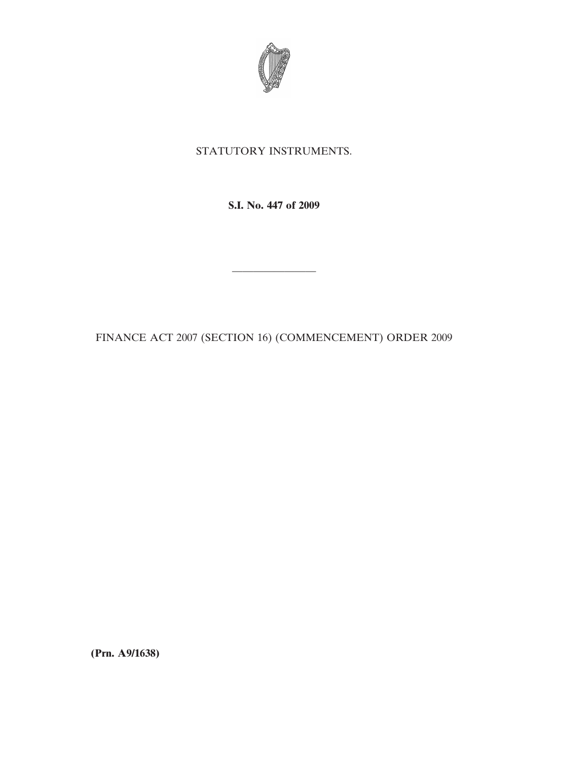

## STATUTORY INSTRUMENTS.

**S.I. No. 447 of 2009**

FINANCE ACT 2007 (SECTION 16) (COMMENCEMENT) ORDER 2009

————————

**(Prn. A9/1638)**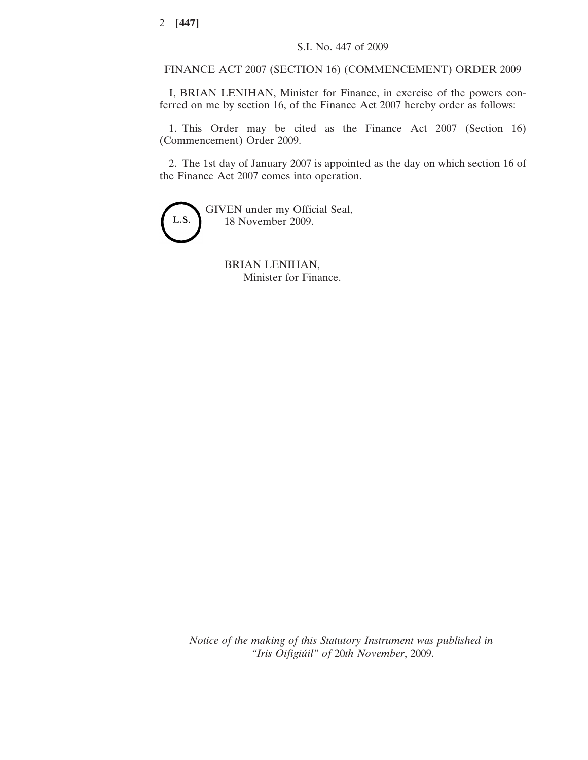## FINANCE ACT 2007 (SECTION 16) (COMMENCEMENT) ORDER 2009

I, BRIAN LENIHAN, Minister for Finance, in exercise of the powers conferred on me by section 16, of the Finance Act 2007 hereby order as follows:

1. This Order may be cited as the Finance Act 2007 (Section 16) (Commencement) Order 2009.

2. The 1st day of January 2007 is appointed as the day on which section 16 of the Finance Act 2007 comes into operation.



GIVEN under my Official Seal, 18 November 2009.

> BRIAN LENIHAN, Minister for Finance.

*Notice of the making of this Statutory Instrument was published in "Iris Oifigiúil" of* 20*th November*, 2009.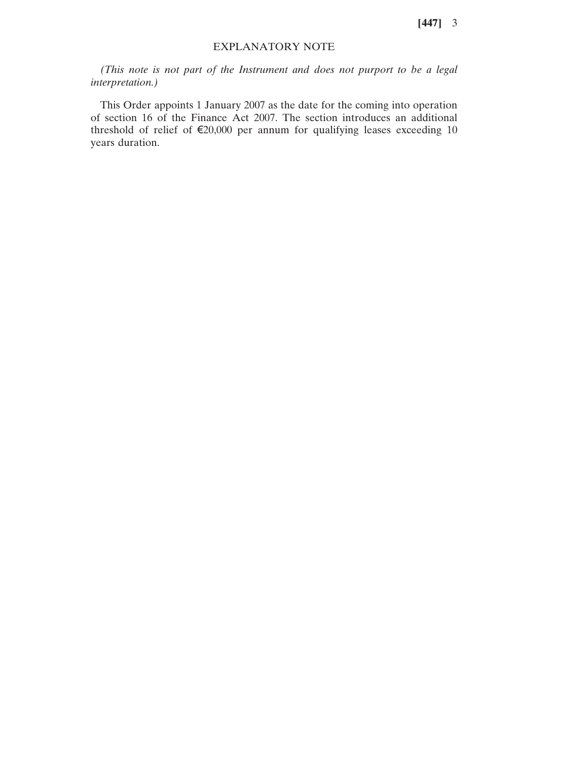**[447]** 3

## EXPLANATORY NOTE

*(This note is not part of the Instrument and does not purport to be a legal interpretation.)*

This Order appoints 1 January 2007 as the date for the coming into operation of section 16 of the Finance Act 2007. The section introduces an additional threshold of relief of  $\epsilon$ 20,000 per annum for qualifying leases exceeding 10 years duration.